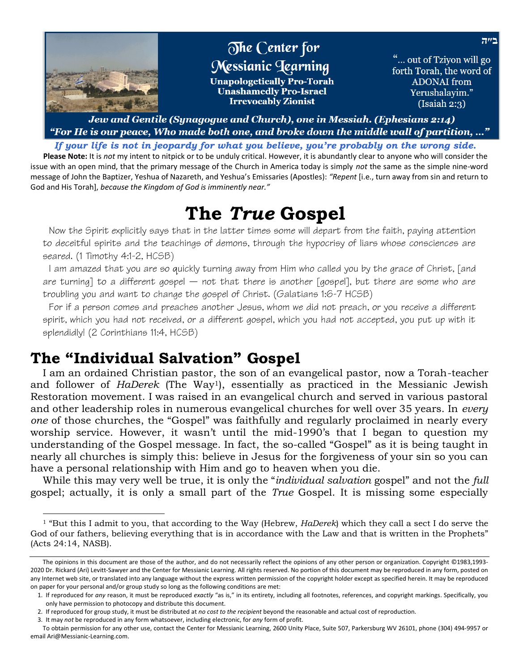

Jew and Gentile (Synagogue and Church), one in Messiah. (Ephesians 2:14) "For He is our peace, Who made both one, and broke down the middle wall of partition, …"

*If your life is not in jeopardy for what you believe, you're probably on the wrong side.*

**Please Note:** It is *not* my intent to nitpick or to be unduly critical. However, it is abundantly clear to anyone who will consider the issue with an open mind, that the primary message of the Church in America today is simply *not* the same as the simple nine-word message of John the Baptizer, Yeshua of Nazareth, and Yeshua's Emissaries (Apostles): *"Repent* [i.e., turn away from sin and return to God and His Torah], *because the Kingdom of God is imminently near."*

# **The** *True* **Gospel**

Now the Spirit explicitly says that in the latter times some will depart from the faith, paying attention to deceitful spirits and the teachings of demons, through the hypocrisy of liars whose consciences are seared. (1 Timothy 4:1-2, HCSB)

I am amazed that you are so quickly turning away from Him who called you by the grace of Christ, [and are turning] to a different gospel  $-$  not that there is another [gospel], but there are some who are troubling you and want to change the gospel of Christ. (Galatians 1:6-7 HCSB)

For if a person comes and preaches another Jesus, whom we did not preach, or you receive a different spirit, which you had not received, or a different gospel, which you had not accepted, you put up with it splendidly! (2 Corinthians 11:4, HCSB)

## **The "Individual Salvation" Gospel**

I am an ordained Christian pastor, the son of an evangelical pastor, now a Torah-teacher and follower of *HaDerek* (The Way1), essentially as practiced in the Messianic Jewish Restoration movement. I was raised in an evangelical church and served in various pastoral and other leadership roles in numerous evangelical churches for well over 35 years. In *every one* of those churches, the "Gospel" was faithfully and regularly proclaimed in nearly every worship service. However, it wasn't until the mid-1990's that I began to question my understanding of the Gospel message. In fact, the so-called "Gospel" as it is being taught in nearly all churches is simply this: believe in Jesus for the forgiveness of your sin so you can have a personal relationship with Him and go to heaven when you die.

While this may very well be true, it is only the "*individual salvation* gospel" and not the *full* gospel; actually, it is only a small part of the *True* Gospel. It is missing some especially

<sup>1</sup> "But this I admit to you, that according to the Way (Hebrew, *HaDerek*) which they call a sect I do serve the God of our fathers, believing everything that is in accordance with the Law and that is written in the Prophets" (Acts 24:14, NASB).

The opinions in this document are those of the author, and do not necessarily reflect the opinions of any other person or organization. Copyright ©1983,1993- 2020 Dr. Rickard (Ari) Levitt-Sawyer and the Center for Messianic Learning. All rights reserved. No portion of this document may be reproduced in any form, posted on any Internet web site, or translated into any language without the express written permission of the copyright holder except as specified herein. It may be reproduced on paper for your personal and/or group study so long as the following conditions are met:

<sup>1.</sup> If reproduced for *any* reason, it must be reproduced *exactly* "as is," in its entirety, including all footnotes, references, and copyright markings. Specifically, you only have permission to photocopy and distribute this document.

<sup>2.</sup> If reproduced for group study, it must be distributed at *no cost to the recipient* beyond the reasonable and actual cost of reproduction.

<sup>3.</sup> It may *not* be reproduced in any form whatsoever, including electronic, for *any* form of profit.

To obtain permission for any other use, contact the Center for Messianic Learning, 2600 Unity Place, Suite 507, Parkersburg WV 26101, phone (304) 494-9957 or email Ari@Messianic-Learning.com.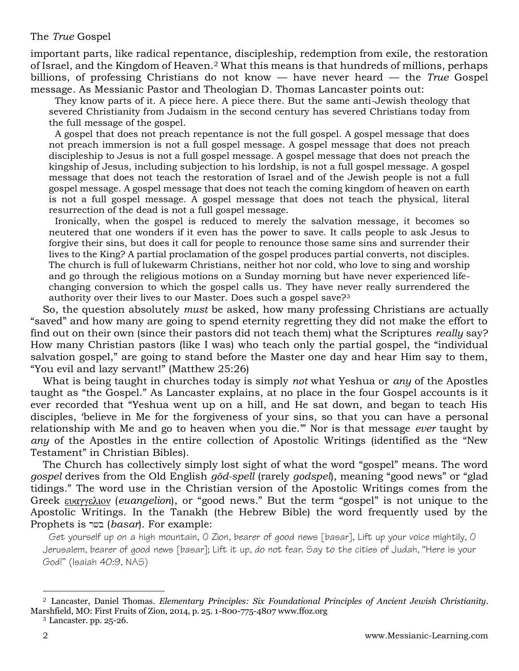#### The *True* Gospel

important parts, like radical repentance, discipleship, redemption from exile, the restoration of Israel, and the Kingdom of Heaven.<sup>2</sup> What this means is that hundreds of millions, perhaps billions, of professing Christians do not know — have never heard — the *True* Gospel message. As Messianic Pastor and Theologian D. Thomas Lancaster points out:

They know parts of it. A piece here. A piece there. But the same anti-Jewish theology that severed Christianity from Judaism in the second century has severed Christians today from the full message of the gospel.

A gospel that does not preach repentance is not the full gospel. A gospel message that does not preach immersion is not a full gospel message. A gospel message that does not preach discipleship to Jesus is not a full gospel message. A gospel message that does not preach the kingship of Jesus, including subjection to his lordship, is not a full gospel message. A gospel message that does not teach the restoration of Israel and of the Jewish people is not a full gospel message. A gospel message that does not teach the coming kingdom of heaven on earth is not a full gospel message. A gospel message that does not teach the physical, literal resurrection of the dead is not a full gospel message.

Ironically, when the gospel is reduced to merely the salvation message, it becomes so neutered that one wonders if it even has the power to save. It calls people to ask Jesus to forgive their sins, but does it call for people to renounce those same sins and surrender their lives to the King? A partial proclamation of the gospel produces partial converts, not disciples. The church is full of lukewarm Christians, neither hot nor cold, who love to sing and worship and go through the religious motions on a Sunday morning but have never experienced lifechanging conversion to which the gospel calls us. They have never really surrendered the authority over their lives to our Master. Does such a gospel save?<sup>3</sup>

So, the question absolutely *must* be asked, how many professing Christians are actually "saved" and how many are going to spend eternity regretting they did not make the effort to find out on their own (since their pastors did not teach them) what the Scriptures *really* say? How many Christian pastors (like I was) who teach only the partial gospel, the "individual salvation gospel," are going to stand before the Master one day and hear Him say to them, "You evil and lazy servant!" (Matthew 25:26)

What is being taught in churches today is simply *not* what Yeshua or *any* of the Apostles taught as "the Gospel." As Lancaster explains, at no place in the four Gospel accounts is it ever recorded that "Yeshua went up on a hill, and He sat down, and began to teach His disciples, 'believe in Me for the forgiveness of your sins, so that you can have a personal relationship with Me and go to heaven when you die.'" Nor is that message *ever* taught by *any* of the Apostles in the entire collection of Apostolic Writings (identified as the "New Testament" in Christian Bibles).

The Church has collectively simply lost sight of what the word "gospel" means. The word *gospel* derives from the Old English *gōd-spell* (rarely *godspel*), meaning "good news" or "glad tidings." The word use in the Christian version of the Apostolic Writings comes from the Greek**EDAYYEAIOV** (euangelion), or "good news." But the term "gospel" is not unique to the Apostolic Writings. In the Tanakh (the Hebrew Bible) the word frequently used by the Prophets is בשר *(basar*). For example:

Get yourself up on a high mountain, O Zion, bearer of good news [basar], Lift up your voice mightily, O Jerusalem, bearer of good news [basar]; Lift it up, do not fear. Say to the cities of Judah, "Here is your God!" (Isaiah 40:9, NAS)

<sup>2</sup> Lancaster, Daniel Thomas. *Elementary Principles: Six Foundational Principles of Ancient Jewish Christianity*. Marshfield, MO: First Fruits of Zion, 2014, p. 25. 1-800-775-4807 www.ffoz.org

<sup>3</sup> Lancaster*.* pp. 25-26.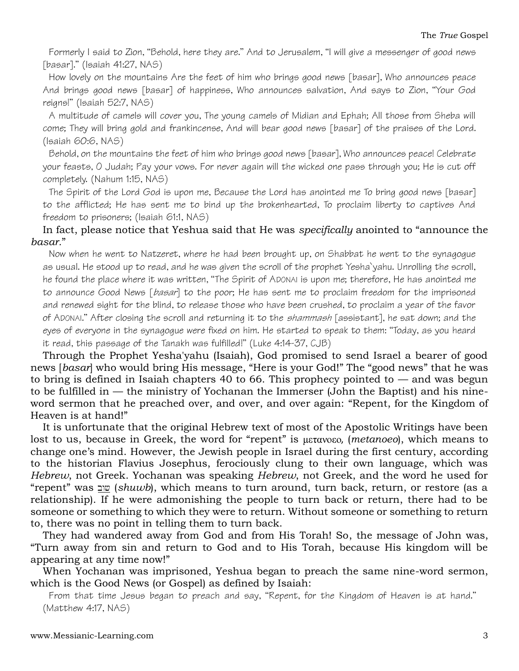Formerly I said to Zion, "Behold, here they are." And to Jerusalem, "I will give a messenger of good news [basar]." (Isaiah 41:27, NAS)

How lovely on the mountains Are the feet of him who brings good news [basar], Who announces peace And brings good news [basar] of happiness, Who announces salvation, And says to Zion, "Your God reigns!" (Isaiah 52:7, NAS)

A multitude of camels will cover you, The young camels of Midian and Ephah; All those from Sheba will come; They will bring gold and frankincense, And will bear good news [basar] of the praises of the Lord. (Isaiah 60:6, NAS)

Behold, on the mountains the feet of him who brings good news [basar], Who announces peace! Celebrate your feasts, O Judah; Pay your vows. For never again will the wicked one pass through you; He is cut off completely. (Nahum 1:15, NAS)

The Spirit of the Lord God is upon me, Because the Lord has anointed me To bring good news [basar] to the afflicted; He has sent me to bind up the brokenhearted, To proclaim liberty to captives And freedom to prisoners; (Isaiah 61:1, NAS)

#### In fact, please notice that Yeshua said that He was *specifically* anointed to "announce the *basar.*"

Now when he went to Natzeret, where he had been brought up, on Shabbat he went to the synagogue as usual. He stood up to read, and he was given the scroll of the prophet Yesha`yahu. Unrolling the scroll, he found the place where it was written, "The Spirit of ADONAI is upon me; therefore, He has anointed me to announce Good News [basar] to the poor; He has sent me to proclaim freedom for the imprisoned and renewed sight for the blind, to release those who have been crushed, to proclaim a year of the favor of ADONAI." After closing the scroll and returning it to the shammash [assistant], he sat down; and the eyes of everyone in the synagogue were fixed on him. He started to speak to them: "Today, as you heard it read, this passage of the Tanakh was fulfilled!" [\(Luke 4:14-37,](http://www.biblestudytools.com/cjb/luke/passage/?q=luke+4:14-37) CJB)

Through the Prophet Yesha'yahu (Isaiah), God promised to send Israel a bearer of good news [*basar*] who would bring His message, "Here is your God!" The "good news" that he was to bring is defined in Isaiah chapters 40 to 66. This prophecy pointed to  $-$  and was begun to be fulfilled in — the ministry of Yochanan the Immerser (John the Baptist) and his nineword sermon that he preached over, and over, and over again: "Repent, for the Kingdom of Heaven is at hand!"

It is unfortunate that the original Hebrew text of most of the Apostolic Writings have been lost to us, because in Greek, the word for "repent" is  $\mu$ *etanoeo*, (*metanoeo*), which means to change one's mind. However, the Jewish people in Israel during the first century, according to the historian Flavius Josephus, ferociously clung to their own language, which was *Hebrew*, not Greek. Yochanan was speaking *Hebrew*, not Greek, and the word he used for "repent" was <u>שנ</u> (*shuwb*), which means to turn around, turn back, return, or restore (as a relationship). If he were admonishing the people to turn back or return, there had to be someone or something to which they were to return. Without someone or something to return to, there was no point in telling them to turn back.

They had wandered away from God and from His Torah! So, the message of John was, "Turn away from sin and return to God and to His Torah, because His kingdom will be appearing at any time now!"

When Yochanan was imprisoned, Yeshua began to preach the same nine-word sermon, which is the Good News (or Gospel) as defined by Isaiah:

From that time Jesus began to preach and say, "Repent, for the Kingdom of Heaven is at hand." (Matthew 4:17, NAS)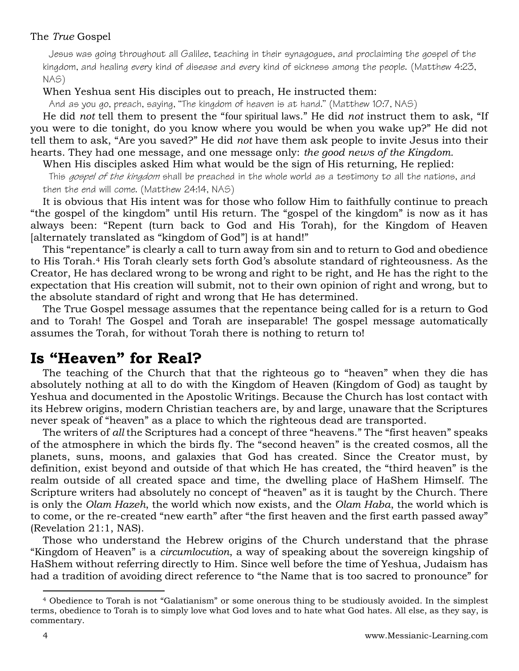#### The *True* Gospel

Jesus was going throughout all Galilee, teaching in their synagogues, and proclaiming the gospel of the kingdom, and healing every kind of disease and every kind of sickness among the people. (Matthew 4:23, NAS)

#### When Yeshua sent His disciples out to preach, He instructed them:

And as you go, preach, saying, "The kingdom of heaven is at hand." (Matthew 10:7, NAS)

He did *not* tell them to present the "four spiritual laws." He did *not* instruct them to ask, "If you were to die tonight, do you know where you would be when you wake up?" He did not tell them to ask, "Are you saved?" He did *not* have them ask people to invite Jesus into their hearts. They had one message, and one message only: *the good news of the Kingdom.*

When His disciples asked Him what would be the sign of His returning, He replied:

This gospel of the kingdom shall be preached in the whole world as a testimony to all the nations, and then the end will come. (Matthew 24:14, NAS)

It is obvious that His intent was for those who follow Him to faithfully continue to preach "the gospel of the kingdom" until His return. The "gospel of the kingdom" is now as it has always been: "Repent (turn back to God and His Torah), for the Kingdom of Heaven [alternately translated as "kingdom of God"] is at hand!"

This "repentance" is clearly a call to turn away from sin and to return to God and obedience to His Torah.<sup>4</sup> His Torah clearly sets forth God's absolute standard of righteousness. As the Creator, He has declared wrong to be wrong and right to be right, and He has the right to the expectation that His creation will submit, not to their own opinion of right and wrong, but to the absolute standard of right and wrong that He has determined.

The True Gospel message assumes that the repentance being called for is a return to God and to Torah! The Gospel and Torah are inseparable! The gospel message automatically assumes the Torah, for without Torah there is nothing to return to!

### **Is "Heaven" for Real?**

The teaching of the Church that that the righteous go to "heaven" when they die has absolutely nothing at all to do with the Kingdom of Heaven (Kingdom of God) as taught by Yeshua and documented in the Apostolic Writings. Because the Church has lost contact with its Hebrew origins, modern Christian teachers are, by and large, unaware that the Scriptures never speak of "heaven" as a place to which the righteous dead are transported.

The writers of *all* the Scriptures had a concept of three "heavens." The "first heaven" speaks of the atmosphere in which the birds fly. The "second heaven" is the created cosmos, all the planets, suns, moons, and galaxies that God has created. Since the Creator must, by definition, exist beyond and outside of that which He has created, the "third heaven" is the realm outside of all created space and time, the dwelling place of HaShem Himself. The Scripture writers had absolutely no concept of "heaven" as it is taught by the Church. There is only the *Olam Hazeh*, the world which now exists, and the *Olam Haba*, the world which is to come, or the re-created "new earth" after "the first heaven and the first earth passed away" [\(Revelation 21:1,](http://www.biblestudytools.com/nas/revelation/21-1.html) NAS).

Those who understand the Hebrew origins of the Church understand that the phrase "Kingdom of Heaven" is a *circumlocution*, a way of speaking about the sovereign kingship of HaShem without referring directly to Him. Since well before the time of Yeshua, Judaism has had a tradition of avoiding direct reference to "the Name that is too sacred to pronounce" for

<sup>4</sup> Obedience to Torah is not "Galatianism" or some onerous thing to be studiously avoided. In the simplest terms, obedience to Torah is to simply love what God loves and to hate what God hates. All else, as they say, is commentary.